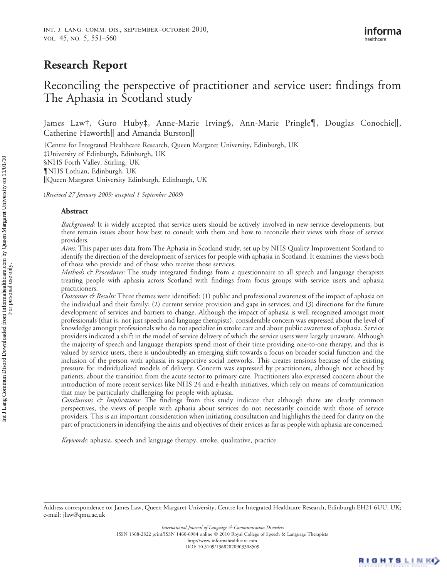# Research Report

## Reconciling the perspective of practitioner and service user: findings from The Aphasia in Scotland study

James Law†, Guro Huby‡, Anne-Marie Irving§, Ann-Marie Pringle¶, Douglas Conochie∥, Catherine Haworth|| and Amanda Burston||

†Centre for Integrated Healthcare Research, Queen Margaret University, Edinburgh, UK ‡University of Edinburgh, Edinburgh, UK §NHS Forth Valley, Stirling, UK {NHS Lothian, Edinburgh, UK kQueen Margaret University Edinburgh, Edinburgh, UK

(Received 27 January 2009; accepted 1 September 2009)

## Abstract

Background: It is widely accepted that service users should be actively involved in new service developments, but there remain issues about how best to consult with them and how to reconcile their views with those of service providers.

Aims: This paper uses data from The Aphasia in Scotland study, set up by NHS Quality Improvement Scotland to identify the direction of the development of services for people with aphasia in Scotland. It examines the views both of those who provide and of those who receive those services.

Methods & Procedures: The study integrated findings from a questionnaire to all speech and language therapists treating people with aphasia across Scotland with findings from focus groups with service users and aphasia practitioners.

Outcomes  $\mathcal{\dot{C}}$  Results: Three themes were identified: (1) public and professional awareness of the impact of aphasia on the individual and their family; (2) current service provision and gaps in services; and (3) directions for the future development of services and barriers to change. Although the impact of aphasia is well recognized amongst most professionals (that is, not just speech and language therapists), considerable concern was expressed about the level of knowledge amongst professionals who do not specialize in stroke care and about public awareness of aphasia. Service providers indicated a shift in the model of service delivery of which the service users were largely unaware. Although the majority of speech and language therapists spend most of their time providing one-to-one therapy, and this is valued by service users, there is undoubtedly an emerging shift towards a focus on broader social function and the inclusion of the person with aphasia in supportive social networks. This creates tensions because of the existing pressure for individualized models of delivery. Concern was expressed by practitioners, although not echoed by patients, about the transition from the acute sector to primary care. Practitioners also expressed concern about the introduction of more recent services like NHS 24 and e-health initiatives, which rely on means of communication that may be particularly challenging for people with aphasia.

Conclusions & Implications: The findings from this study indicate that although there are clearly common perspectives, the views of people with aphasia about services do not necessarily coincide with those of service providers. This is an important consideration when initiating consultation and highlights the need for clarity on the part of practitioners in identifying the aims and objectives of their ervices as far as people with aphasia are concerned.

Keywords: aphasia, speech and language therapy, stroke, qualitative, practice.

International Journal of Language & Communication Disorders ISSN 1368-2822 print/ISSN 1460-6984 online q 2010 Royal College of Speech & Language Therapists http://www.informahealthcare.com DOI: 10.3109/13682820903308509



Address correspondence to: James Law, Queen Margaret University, Centre for Integrated Healthcare Research, Edinburgh EH21 6UU, UK; e-mail: jlaw@qmu.ac.uk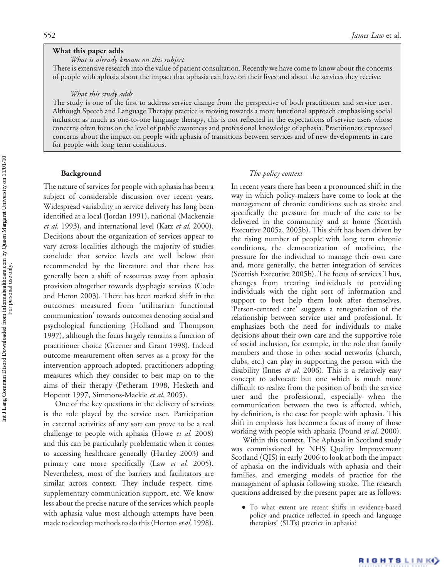### What this paper adds

What is already known on this subject

There is extensive research into the value of patient consultation. Recently we have come to know about the concerns of people with aphasia about the impact that aphasia can have on their lives and about the services they receive.

#### What this study adds

The study is one of the first to address service change from the perspective of both practitioner and service user. Although Speech and Language Therapy practice is moving towards a more functional approach emphasising social inclusion as much as one-to-one language therapy, this is not reflected in the expectations of service users whose concerns often focus on the level of public awareness and professional knowledge of aphasia. Practitioners expressed concerns about the impact on people with aphasia of transitions between services and of new developments in care for people with long term conditions.

### Background

The nature of services for people with aphasia has been a subject of considerable discussion over recent years. Widespread variability in service delivery has long been identified at a local (Jordan 1991), national (Mackenzie et al. 1993), and international level (Katz et al. 2000). Decisions about the organization of services appear to vary across localities although the majority of studies conclude that service levels are well below that recommended by the literature and that there has generally been a shift of resources away from aphasia provision altogether towards dysphagia services (Code and Heron 2003). There has been marked shift in the outcomes measured from 'utilitarian functional communication' towards outcomes denoting social and psychological functioning (Holland and Thompson 1997), although the focus largely remains a function of practitioner choice (Greener and Grant 1998). Indeed outcome measurement often serves as a proxy for the intervention approach adopted, practitioners adopting measures which they consider to best map on to the aims of their therapy (Petheram 1998, Hesketh and Hopcutt 1997, Simmons-Mackie et al. 2005).

One of the key questions in the delivery of services is the role played by the service user. Participation in external activities of any sort can prove to be a real challenge to people with aphasia (Howe et al. 2008) and this can be particularly problematic when it comes to accessing healthcare generally (Hartley 2003) and primary care more specifically (Law et al. 2005). Nevertheless, most of the barriers and facilitators are similar across context. They include respect, time, supplementary communication support, etc. We know less about the precise nature of the services which people with aphasia value most although attempts have been made to develop methods to do this (Horton *et al.* 1998).

## The policy context

In recent years there has been a pronounced shift in the way in which policy-makers have come to look at the management of chronic conditions such as stroke and specifically the pressure for much of the care to be delivered in the community and at home (Scottish Executive 2005a, 2005b). This shift has been driven by the rising number of people with long term chronic conditions, the democratization of medicine, the pressure for the individual to manage their own care and, more generally, the better integration of services (Scottish Executive 2005b). The focus of services Thus, changes from treating individuals to providing individuals with the right sort of information and support to best help them look after themselves. 'Person-centred care' suggests a renegotiation of the relationship between service user and professional. It emphasizes both the need for individuals to make decisions about their own care and the supportive role of social inclusion, for example, in the role that family members and those in other social networks (church, clubs, etc.) can play in supporting the person with the disability (Innes et al. 2006). This is a relatively easy concept to advocate but one which is much more difficult to realize from the position of both the service user and the professional, especially when the communication between the two is affected, which, by definition, is the case for people with aphasia. This shift in emphasis has become a focus of many of those working with people with aphasia (Pound *et al.* 2000).

Within this context, The Aphasia in Scotland study was commissioned by NHS Quality Improvement Scotland (QIS) in early 2006 to look at both the impact of aphasia on the individuals with aphasia and their families, and emerging models of practice for the management of aphasia following stroke. The research questions addressed by the present paper are as follows:

. To what extent are recent shifts in evidence-based policy and practice reflected in speech and language therapists' (SLTs) practice in aphasia?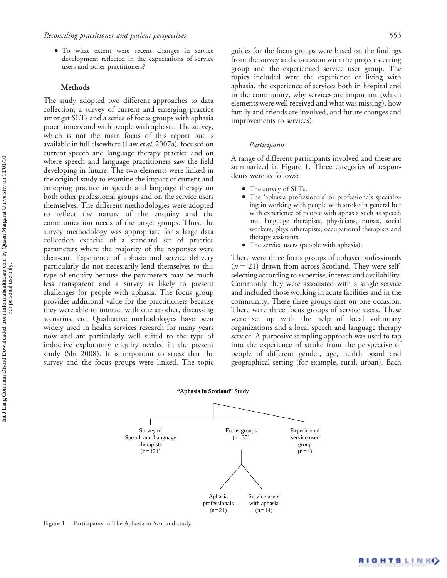. To what extent were recent changes in service development reflected in the expectations of service users and other practitioners?

#### Methods

The study adopted two different approaches to data collection; a survey of current and emerging practice amongst SLTs and a series of focus groups with aphasia practitioners and with people with aphasia. The survey, which is not the main focus of this report but is available in full elsewhere (Law et al. 2007a), focused on current speech and language therapy practice and on where speech and language practitioners saw the field developing in future. The two elements were linked in the original study to examine the impact of current and emerging practice in speech and language therapy on both other professional groups and on the service users themselves. The different methodologies were adopted to reflect the nature of the enquiry and the communication needs of the target groups. Thus, the survey methodology was appropriate for a large data collection exercise of a standard set of practice parameters where the majority of the responses were clear-cut. Experience of aphasia and service delivery particularly do not necessarily lend themselves to this type of enquiry because the parameters may be much less transparent and a survey is likely to present challenges for people with aphasia. The focus group provides additional value for the practitioners because they were able to interact with one another, discussing scenarios, etc. Qualitative methodologies have been widely used in health services research for many years now and are particularly well suited to the type of inductive exploratory enquiry needed in the present study (Shi 2008). It is important to stress that the survey and the focus groups were linked. The topic

guides for the focus groups were based on the findings from the survey and discussion with the project steering group and the experienced service user group. The topics included were the experience of living with aphasia, the experience of services both in hospital and in the community, why services are important (which elements were well received and what was missing), how family and friends are involved, and future changes and improvements to services).

#### Participants

A range of different participants involved and these are summarized in Figure 1. Three categories of respondents were as follows:

- The survey of SLTs.
- . The 'aphasia professionals' or professionals specializing in working with people with stroke in general but with experience of people with aphasia such as speech and language therapists, physicians, nurses, social workers, physiotherapists, occupational therapists and therapy assistants.
- . The service users (people with aphasia).

There were three focus groups of aphasia professionals  $(n = 21)$  drawn from across Scotland. They were selfselecting according to expertise, interest and availability. Commonly they were associated with a single service and included those working in acute facilities and in the community. These three groups met on one occasion. There were three focus groups of service users. These were set up with the help of local voluntary organizations and a local speech and language therapy service. A purposive sampling approach was used to tap into the experience of stroke from the perspective of people of different gender, age, health board and geographical setting (for example, rural, urban). Each



Figure 1. Participants in The Aphasia in Scotland study.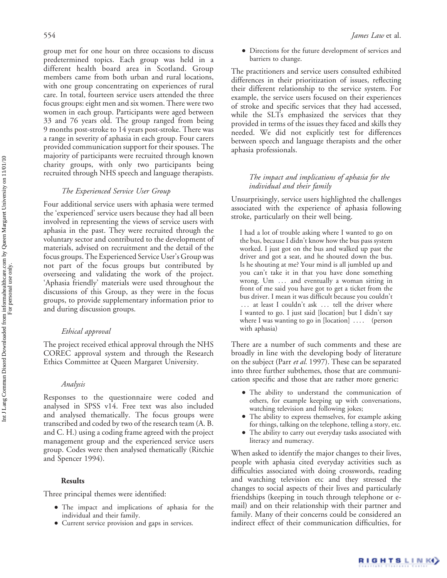group met for one hour on three occasions to discuss predetermined topics. Each group was held in a different health board area in Scotland. Group members came from both urban and rural locations, with one group concentrating on experiences of rural care. In total, fourteen service users attended the three focus groups: eight men and six women. There were two women in each group. Participants were aged between 33 and 76 years old. The group ranged from being 9 months post-stroke to 14 years post-stroke. There was a range in severity of aphasia in each group. Four carers provided communication support for their spouses. The majority of participants were recruited through known charity groups, with only two participants being recruited through NHS speech and language therapists.

## The Experienced Service User Group

Four additional service users with aphasia were termed the 'experienced' service users because they had all been involved in representing the views of service users with aphasia in the past. They were recruited through the voluntary sector and contributed to the development of materials, advised on recruitment and the detail of the focus groups. The Experienced Service User's Group was not part of the focus groups but contributed by overseeing and validating the work of the project. 'Aphasia friendly' materials were used throughout the discussions of this Group, as they were in the focus groups, to provide supplementary information prior to and during discussion groups.

## Ethical approval

The project received ethical approval through the NHS COREC approval system and through the Research Ethics Committee at Queen Margaret University.

## Analysis

Responses to the questionnaire were coded and analysed in SPSS v14. Free text was also included and analysed thematically. The focus groups were transcribed and coded by two of the research team (A. B. and C. H.) using a coding frame agreed with the project management group and the experienced service users group. Codes were then analysed thematically (Ritchie and Spencer 1994).

#### Results

Three principal themes were identified:

- . The impact and implications of aphasia for the individual and their family.
- . Current service provision and gaps in services.
- **1** *James Law* et al.
	- . Directions for the future development of services and barriers to change.

The practitioners and service users consulted exhibited differences in their prioritization of issues, reflecting their different relationship to the service system. For example, the service users focused on their experiences of stroke and specific services that they had accessed, while the SLTs emphasized the services that they provided in terms of the issues they faced and skills they needed. We did not explicitly test for differences between speech and language therapists and the other aphasia professionals.

## The impact and implications of aphasia for the individual and their family

Unsurprisingly, service users highlighted the challenges associated with the experience of aphasia following stroke, particularly on their well being.

I had a lot of trouble asking where I wanted to go on the bus, because I didn't know how the bus pass system worked. I just got on the bus and walked up past the driver and got a seat, and he shouted down the bus. Is he shouting at me? Your mind is all jumbled up and you can't take it in that you have done something wrong. Um ... and eventually a woman sitting in front of me said you have got to get a ticket from the bus driver. I mean it was difficult because you couldn't ... at least I couldn't ask ... tell the driver where I wanted to go. I just said [location] but I didn't say where I was wanting to go in [location] ... . (person with aphasia)

There are a number of such comments and these are broadly in line with the developing body of literature on the subject (Parr *et al.* 1997). These can be separated into three further subthemes, those that are communication specific and those that are rather more generic:

- . The ability to understand the communication of others, for example keeping up with conversations, watching television and following jokes;
- . The ability to express themselves, for example asking for things, talking on the telephone, telling a story, etc.
- . The ability to carry out everyday tasks associated with literacy and numeracy.

When asked to identify the major changes to their lives, people with aphasia cited everyday activities such as difficulties associated with doing crosswords, reading and watching television etc and they stressed the changes to social aspects of their lives and particularly friendships (keeping in touch through telephone or email) and on their relationship with their partner and family. Many of their concerns could be considered an indirect effect of their communication difficulties, for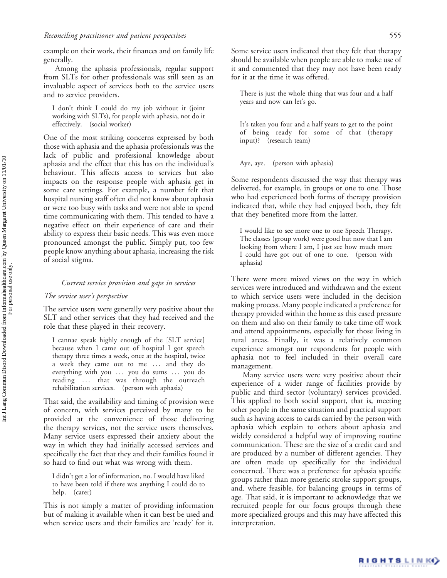example on their work, their finances and on family life generally.

Among the aphasia professionals, regular support from SLTs for other professionals was still seen as an invaluable aspect of services both to the service users and to service providers.

I don't think I could do my job without it (joint working with SLTs), for people with aphasia, not do it effectively. (social worker)

One of the most striking concerns expressed by both those with aphasia and the aphasia professionals was the lack of public and professional knowledge about aphasia and the effect that this has on the individual's behaviour. This affects access to services but also impacts on the response people with aphasia get in some care settings. For example, a number felt that hospital nursing staff often did not know about aphasia or were too busy with tasks and were not able to spend time communicating with them. This tended to have a negative effect on their experience of care and their ability to express their basic needs. This was even more pronounced amongst the public. Simply put, too few people know anything about aphasia, increasing the risk of social stigma.

#### Current service provision and gaps in services

## The service user's perspective

The service users were generally very positive about the SLT and other services that they had received and the role that these played in their recovery.

I cannae speak highly enough of the [SLT service] because when I came out of hospital I got speech therapy three times a week, once at the hospital, twice a week they came out to me ... and they do everything with you ... you do sums ... you do reading ... that was through the outreach rehabilitation services. (person with aphasia)

That said, the availability and timing of provision were of concern, with services perceived by many to be provided at the convenience of those delivering the therapy services, not the service users themselves. Many service users expressed their anxiety about the way in which they had initially accessed services and specifically the fact that they and their families found it so hard to find out what was wrong with them.

I didn't get a lot of information, no. I would have liked to have been told if there was anything I could do to help. (carer)

This is not simply a matter of providing information but of making it available when it can best be used and when service users and their families are 'ready' for it.

Some service users indicated that they felt that therapy should be available when people are able to make use of it and commented that they may not have been ready for it at the time it was offered.

There is just the whole thing that was four and a half years and now can let's go.

It's taken you four and a half years to get to the point of being ready for some of that (therapy input)? (research team)

Aye, aye. (person with aphasia)

Some respondents discussed the way that therapy was delivered, for example, in groups or one to one. Those who had experienced both forms of therapy provision indicated that, while they had enjoyed both, they felt that they benefited more from the latter.

I would like to see more one to one Speech Therapy. The classes (group work) were good but now that I am looking from where I am, I just see how much more I could have got out of one to one. (person with aphasia)

There were more mixed views on the way in which services were introduced and withdrawn and the extent to which service users were included in the decision making process. Many people indicated a preference for therapy provided within the home as this eased pressure on them and also on their family to take time off work and attend appointments, especially for those living in rural areas. Finally, it was a relatively common experience amongst our respondents for people with aphasia not to feel included in their overall care management.

Many service users were very positive about their experience of a wider range of facilities provide by public and third sector (voluntary) services provided. This applied to both social support, that is, meeting other people in the same situation and practical support such as having access to cards carried by the person with aphasia which explain to others about aphasia and widely considered a helpful way of improving routine communication. These are the size of a credit card and are produced by a number of different agencies. They are often made up specifically for the individual concerned. There was a preference for aphasia specific groups rather than more generic stroke support groups, and. where feasible, for balancing groups in terms of age. That said, it is important to acknowledge that we recruited people for our focus groups through these more specialized groups and this may have affected this interpretation.

For personal use only.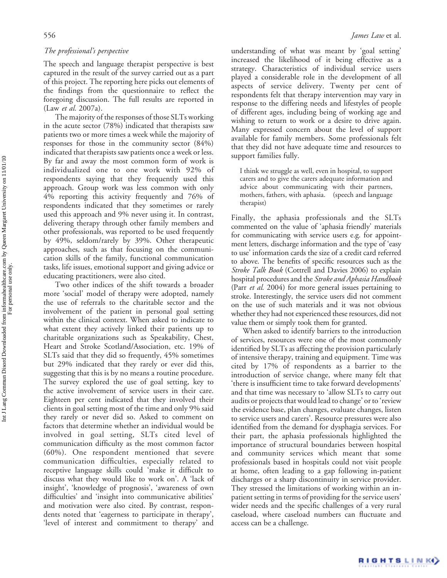## The professional's perspective

The speech and language therapist perspective is best captured in the result of the survey carried out as a part of this project. The reporting here picks out elements of the findings from the questionnaire to reflect the foregoing discussion. The full results are reported in (Law et al. 2007a).

The majority of the responses of those SLTs working in the acute sector (78%) indicated that therapists saw patients two or more times a week while the majority of responses for those in the community sector (84%) indicated that therapists saw patients once a week or less. By far and away the most common form of work is individualized one to one work with 92% of respondents saying that they frequently used this approach. Group work was less common with only 4% reporting this activity frequently and 76% of respondents indicated that they sometimes or rarely used this approach and 9% never using it. In contrast, delivering therapy through other family members and other professionals, was reported to be used frequently by 49%, seldom/rarely by 39%. Other therapeutic approaches, such as that focusing on the communication skills of the family, functional communication tasks, life issues, emotional support and giving advice or educating practitioners, were also cited.

Two other indices of the shift towards a broader more 'social' model of therapy were adopted, namely the use of referrals to the charitable sector and the involvement of the patient in personal goal setting within the clinical context. When asked to indicate to what extent they actively linked their patients up to charitable organizations such as Speakability, Chest, Heart and Stroke Scotland/Association, etc. 19% of SLTs said that they did so frequently, 45% sometimes but 29% indicated that they rarely or ever did this, suggesting that this is by no means a routine procedure. The survey explored the use of goal setting, key to the active involvement of service users in their care. Eighteen per cent indicated that they involved their clients in goal setting most of the time and only 9% said they rarely or never did so. Asked to comment on factors that determine whether an individual would be involved in goal setting, SLTs cited level of communication difficulty as the most common factor (60%). One respondent mentioned that severe communication difficulties, especially related to receptive language skills could 'make it difficult to discuss what they would like to work on'. A 'lack of insight', 'knowledge of prognosis', 'awareness of own difficulties' and 'insight into communicative abilities' and motivation were also cited. By contrast, respondents noted that 'eagerness to participate in therapy', 'level of interest and commitment to therapy' and

understanding of what was meant by 'goal setting' increased the likelihood of it being effective as a strategy. Characteristics of individual service users played a considerable role in the development of all aspects of service delivery. Twenty per cent of respondents felt that therapy intervention may vary in response to the differing needs and lifestyles of people of different ages, including being of working age and wishing to return to work or a desire to drive again. Many expressed concern about the level of support available for family members. Some professionals felt that they did not have adequate time and resources to support families fully.

I think we struggle as well, even in hospital, to support carers and to give the carers adequate information and advice about communicating with their partners, mothers, fathers, with aphasia. (speech and language therapist)

Finally, the aphasia professionals and the SLTs commented on the value of 'aphasia friendly' materials for communicating with service users e.g. for appointment letters, discharge information and the type of 'easy to use' information cards the size of a credit card referred to above. The benefits of specific resources such as the Stroke Talk Book (Cottrell and Davies 2006) to explain hospital procedures and the Stroke and Aphasia Handbook (Parr *et al.* 2004) for more general issues pertaining to stroke. Interestingly, the service users did not comment on the use of such materials and it was not obvious whether they had not experienced these resources, did not value them or simply took them for granted.

When asked to identify barriers to the introduction of services, resources were one of the most commonly identified by SLTs as affecting the provision particularly of intensive therapy, training and equipment. Time was cited by 17% of respondents as a barrier to the introduction of service change, where many felt that 'there is insufficient time to take forward developments' and that time was necessary to 'allow SLTs to carry out audits or projects that would lead to change' or to 'review the evidence base, plan changes, evaluate changes, listen to service users and carers'. Resource pressures were also identified from the demand for dysphagia services. For their part, the aphasia professionals highlighted the importance of structural boundaries between hospital and community services which meant that some professionals based in hospitals could not visit people at home, often leading to a gap following in-patient discharges or a sharp discontinuity in service provider. They stressed the limitations of working within an inpatient setting in terms of providing for the service users' wider needs and the specific challenges of a very rural caseload, where caseload numbers can fluctuate and access can be a challenge.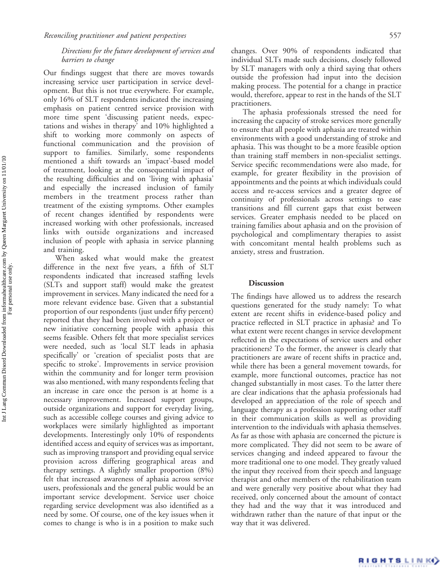## Directions for the future development of services and barriers to change

Our findings suggest that there are moves towards increasing service user participation in service development. But this is not true everywhere. For example, only 16% of SLT respondents indicated the increasing emphasis on patient centred service provision with more time spent 'discussing patient needs, expectations and wishes in therapy' and 10% highlighted a shift to working more commonly on aspects of functional communication and the provision of support to families. Similarly, some respondents mentioned a shift towards an 'impact'-based model of treatment, looking at the consequential impact of the resulting difficulties and on 'living with aphasia' and especially the increased inclusion of family members in the treatment process rather than treatment of the existing symptoms. Other examples of recent changes identified by respondents were increased working with other professionals, increased links with outside organizations and increased inclusion of people with aphasia in service planning and training.

When asked what would make the greatest difference in the next five years, a fifth of SLT respondents indicated that increased staffing levels (SLTs and support staff) would make the greatest improvement in services. Many indicated the need for a more relevant evidence base. Given that a substantial proportion of our respondents (just under fifty percent) reported that they had been involved with a project or new initiative concerning people with aphasia this seems feasible. Others felt that more specialist services were needed, such as 'local SLT leads in aphasia specifically' or 'creation of specialist posts that are specific to stroke'. Improvements in service provision within the community and for longer term provision was also mentioned, with many respondents feeling that an increase in care once the person is at home is a necessary improvement. Increased support groups, outside organizations and support for everyday living, such as accessible college courses and giving advice to workplaces were similarly highlighted as important developments. Interestingly only 10% of respondents identified access and equity of services was as important, such as improving transport and providing equal service provision across differing geographical areas and therapy settings. A slightly smaller proportion (8%) felt that increased awareness of aphasia across service users, professionals and the general public would be an important service development. Service user choice regarding service development was also identified as a need by some. Of course, one of the key issues when it comes to change is who is in a position to make such

changes. Over 90% of respondents indicated that individual SLTs made such decisions, closely followed by SLT managers with only a third saying that others outside the profession had input into the decision making process. The potential for a change in practice would, therefore, appear to rest in the hands of the SLT practitioners.

The aphasia professionals stressed the need for increasing the capacity of stroke services more generally to ensure that all people with aphasia are treated within environments with a good understanding of stroke and aphasia. This was thought to be a more feasible option than training staff members in non-specialist settings. Service specific recommendations were also made, for example, for greater flexibility in the provision of appointments and the points at which individuals could access and re-access services and a greater degree of continuity of professionals across settings to ease transitions and fill current gaps that exist between services. Greater emphasis needed to be placed on training families about aphasia and on the provision of psychological and complimentary therapies to assist with concomitant mental health problems such as anxiety, stress and frustration.

## **Discussion**

The findings have allowed us to address the research questions generated for the study namely: To what extent are recent shifts in evidence-based policy and practice reflected in SLT practice in aphasia? and To what extent were recent changes in service development reflected in the expectations of service users and other practitioners? To the former, the answer is clearly that practitioners are aware of recent shifts in practice and, while there has been a general movement towards, for example, more functional outcomes, practice has not changed substantially in most cases. To the latter there are clear indications that the aphasia professionals had developed an appreciation of the role of speech and language therapy as a profession supporting other staff in their communication skills as well as providing intervention to the individuals with aphasia themselves. As far as those with aphasia are concerned the picture is more complicated. They did not seem to be aware of services changing and indeed appeared to favour the more traditional one to one model. They greatly valued the input they received from their speech and language therapist and other members of the rehabilitation team and were generally very positive about what they had received, only concerned about the amount of contact they had and the way that it was introduced and withdrawn rather than the nature of that input or the way that it was delivered.

For personal use only.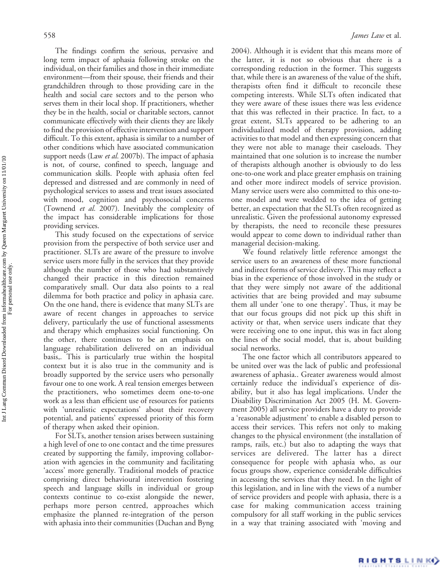The findings confirm the serious, pervasive and long term impact of aphasia following stroke on the individual, on their families and those in their immediate environment—from their spouse, their friends and their grandchildren through to those providing care in the health and social care sectors and to the person who serves them in their local shop. If practitioners, whether they be in the health, social or charitable sectors, cannot communicate effectively with their clients they are likely to find the provision of effective intervention and support difficult. To this extent, aphasia is similar to a number of other conditions which have associated communication support needs (Law et al. 2007b). The impact of aphasia is not, of course, confined to speech, language and communication skills. People with aphasia often feel depressed and distressed and are commonly in need of psychological services to assess and treat issues associated with mood, cognition and psychosocial concerns (Townend et al. 2007). Inevitably the complexity of the impact has considerable implications for those providing services.

This study focused on the expectations of service provision from the perspective of both service user and practitioner. SLTs are aware of the pressure to involve service users more fully in the services that they provide although the number of those who had substantively changed their practice in this direction remained comparatively small. Our data also points to a real dilemma for both practice and policy in aphasia care. On the one hand, there is evidence that many SLTs are aware of recent changes in approaches to service delivery, particularly the use of functional assessments and therapy which emphasizes social functioning. On the other, there continues to be an emphasis on language rehabilitation delivered on an individual basis,. This is particularly true within the hospital context but it is also true in the community and is broadly supported by the service users who personally favour one to one work. A real tension emerges between the practitioners, who sometimes deem one-to-one work as a less than efficient use of resources for patients with 'unrealistic expectations' about their recovery potential, and patients' expressed priority of this form of therapy when asked their opinion.

For SLTs, another tension arises between sustaining a high level of one to one contact and the time pressures created by supporting the family, improving collaboration with agencies in the community and facilitating 'access' more generally. Traditional models of practice comprising direct behavioural intervention fostering speech and language skills in individual or group contexts continue to co-exist alongside the newer, perhaps more person centred, approaches which emphasize the planned re-integration of the person with aphasia into their communities (Duchan and Byng 2004). Although it is evident that this means more of the latter, it is not so obvious that there is a corresponding reduction in the former. This suggests that, while there is an awareness of the value of the shift, therapists often find it difficult to reconcile these competing interests. While SLTs often indicated that they were aware of these issues there was less evidence that this was reflected in their practice. In fact, to a great extent, SLTs appeared to be adhering to an individualized model of therapy provision, adding activities to that model and then expressing concern that they were not able to manage their caseloads. They maintained that one solution is to increase the number of therapists although another is obviously to do less one-to-one work and place greater emphasis on training and other more indirect models of service provision. Many service users were also committed to this one-toone model and were wedded to the idea of getting better, an expectation that the SLTs often recognized as unrealistic. Given the professional autonomy expressed by therapists, the need to reconcile these pressures would appear to come down to individual rather than managerial decision-making.

We found relatively little reference amongst the service users to an awareness of these more functional and indirect forms of service delivery. This may reflect a bias in the experience of those involved in the study or that they were simply not aware of the additional activities that are being provided and may subsume them all under 'one to one therapy'. Thus, it may be that our focus groups did not pick up this shift in activity or that, when service users indicate that they were receiving one to one input, this was in fact along the lines of the social model, that is, about building social networks.

The one factor which all contributors appeared to be united over was the lack of public and professional awareness of aphasia.. Greater awareness would almost certainly reduce the individual's experience of disability, but it also has legal implications. Under the Disability Discrimination Act 2005 (H. M. Government 2005) all service providers have a duty to provide a 'reasonable adjustment' to enable a disabled person to access their services. This refers not only to making changes to the physical environment (the installation of ramps, rails, etc.) but also to adapting the ways that services are delivered. The latter has a direct consequence for people with aphasia who, as our focus groups show, experience considerable difficulties in accessing the services that they need. In the light of this legislation, and in line with the views of a number of service providers and people with aphasia, there is a case for making communication access training compulsory for all staff working in the public services in a way that training associated with 'moving and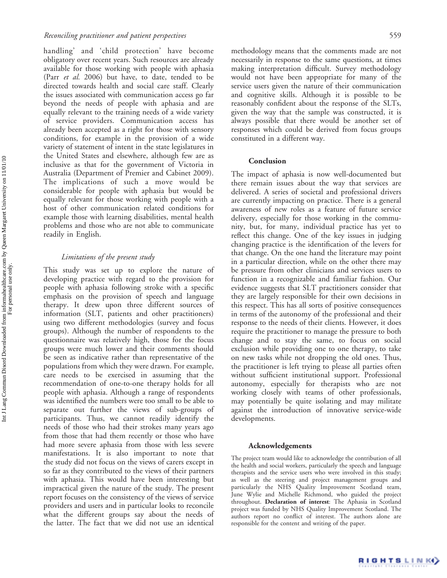handling' and 'child protection' have become obligatory over recent years. Such resources are already available for those working with people with aphasia (Parr et al. 2006) but have, to date, tended to be directed towards health and social care staff. Clearly the issues associated with communication access go far beyond the needs of people with aphasia and are equally relevant to the training needs of a wide variety of service providers. Communication access has already been accepted as a right for those with sensory conditions, for example in the provision of a wide variety of statement of intent in the state legislatures in the United States and elsewhere, although few are as inclusive as that for the government of Victoria in Australia (Department of Premier and Cabinet 2009). The implications of such a move would be considerable for people with aphasia but would be equally relevant for those working with people with a host of other communication related conditions for example those with learning disabilities, mental health problems and those who are not able to communicate readily in English.

## Limitations of the present study

This study was set up to explore the nature of developing practice with regard to the provision for people with aphasia following stroke with a specific emphasis on the provision of speech and language therapy. It drew upon three different sources of information (SLT, patients and other practitioners) using two different methodologies (survey and focus groups). Although the number of respondents to the questionnaire was relatively high, those for the focus groups were much lower and their comments should be seen as indicative rather than representative of the populations from which they were drawn. For example, care needs to be exercised in assuming that the recommendation of one-to-one therapy holds for all people with aphasia. Although a range of respondents was identified the numbers were too small to be able to separate out further the views of sub-groups of participants. Thus, we cannot readily identify the needs of those who had their strokes many years ago from those that had them recently or those who have had more severe aphasia from those with less severe manifestations. It is also important to note that the study did not focus on the views of carers except in so far as they contributed to the views of their partners with aphasia. This would have been interesting but impractical given the nature of the study. The present report focuses on the consistency of the views of service providers and users and in particular looks to reconcile what the different groups say about the needs of the latter. The fact that we did not use an identical

methodology means that the comments made are not necessarily in response to the same questions, at times making interpretation difficult. Survey methodology would not have been appropriate for many of the service users given the nature of their communication and cognitive skills. Although it is possible to be reasonably confident about the response of the SLTs, given the way that the sample was constructed, it is always possible that there would be another set of responses which could be derived from focus groups constituted in a different way.

#### Conclusion

The impact of aphasia is now well-documented but there remain issues about the way that services are delivered. A series of societal and professional drivers are currently impacting on practice. There is a general awareness of new roles as a feature of future service delivery, especially for those working in the community, but, for many, individual practice has yet to reflect this change. One of the key issues in judging changing practice is the identification of the levers for that change. On the one hand the literature may point in a particular direction, while on the other there may be pressure from other clinicians and services users to function in a recognizable and familiar fashion. Our evidence suggests that SLT practitioners consider that they are largely responsible for their own decisions in this respect. This has all sorts of positive consequences in terms of the autonomy of the professional and their response to the needs of their clients. However, it does require the practitioner to manage the pressure to both change and to stay the same, to focus on social exclusion while providing one to one therapy, to take on new tasks while not dropping the old ones. Thus, the practitioner is left trying to please all parties often without sufficient institutional support. Professional autonomy, especially for therapists who are not working closely with teams of other professionals, may potentially be quite isolating and may militate against the introduction of innovative service-wide developments.

#### Acknowledgements

The project team would like to acknowledge the contribution of all the health and social workers, particularly the speech and language therapists and the service users who were involved in this study; as well as the steering and project management groups and particularly the NHS Quality Improvement Scotland team, June Wylie and Michelle Richmond, who guided the project throughout. Declaration of interest: The Aphasia in Scotland project was funded by NHS Quality Improvement Scotland. The authors report no conflict of interest. The authors alone are responsible for the content and writing of the paper.

RIGHTSLINK)